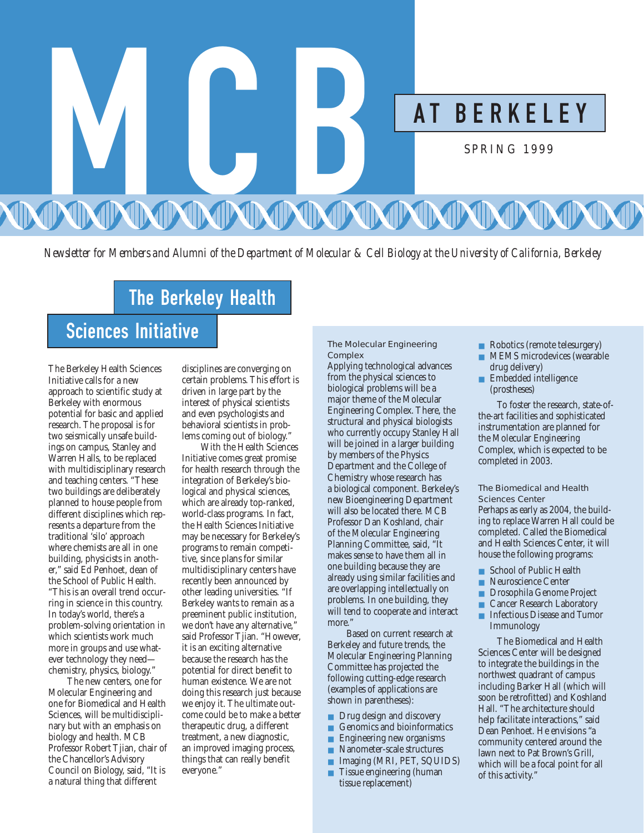

*Newsletter for Members and Alumni of the Department of Molecular & Cell Biology at the University of California, Berkeley*

# The Berkeley Health

# Sciences Initiative

The Berkeley Health Sciences Initiative calls for a new approach to scientific study at Berkeley with enormous potential for basic and applied research. The proposal is for two seismically unsafe buildings on campus, Stanley and Warren Halls, to be replaced with multidisciplinary research and teaching centers. "These two buildings are deliberately planned to house people from different disciplines which represents a departure from the traditional 'silo' approach where chemists are all in one building, physicists in another," said Ed Penhoet, dean of the School of Public Health. "This is an overall trend occurring in science in this country. In today's world, there's a problem-solving orientation in which scientists work much more in groups and use whatever technology they need chemistry, physics, biology."

The new centers, one for Molecular Engineering and one for Biomedical and Health Sciences, will be multidisciplinary but with an emphasis on biology and health. MCB Professor Robert Tjian, chair of the Chancellor's Advisory Council on Biology, said, "It is a natural thing that different

disciplines are converging on certain problems. This effort is driven in large part by the interest of physical scientists and even psychologists and behavioral scientists in problems coming out of biology."

With the Health Sciences Initiative comes great promise for health research through the integration of Berkeley's biological and physical sciences, which are already top-ranked, world-class programs. In fact, the Health Sciences Initiative may be necessary for Berkeley's programs to remain competitive, since plans for similar multidisciplinary centers have recently been announced by other leading universities. "If Berkeley wants to remain as a preeminent public institution, we don't have any alternative," said Professor Tjian. "However, it is an exciting alternative because the research has the potential for direct benefit to human existence. We are not doing this research just because we enjoy it. The ultimate outcome could be to make a better therapeutic drug, a different treatment, a new diagnostic, an improved imaging process, things that can really benefit everyone."

## The Molecular Engineering **Complex**

Applying technological advances from the physical sciences to biological problems will be a major theme of the Molecular Engineering Complex. There, the structural and physical biologists who currently occupy Stanley Hall will be joined in a larger building by members of the Physics Department and the College of Chemistry whose research has a biological component. Berkeley's new Bioengineering Department will also be located there. MCB Professor Dan Koshland, chair of the Molecular Engineering Planning Committee, said, "It makes sense to have them all in one building because they are already using similar facilities and are overlapping intellectually on problems. In one building, they will tend to cooperate and interact more<sup>'</sup>

Based on current research at Berkeley and future trends, the Molecular Engineering Planning Committee has projected the following cutting-edge research (examples of applications are shown in parentheses):

- Drug design and discovery
- Genomics and bioinformatics
- Engineering new organisms
- Nanometer-scale structures
- Imaging (MRI, PET, SQUIDS)
- Tissue engineering (human tissue replacement)
- Robotics (remote telesurgery)
- MEMS microdevices (wearable drug delivery)
- Embedded intelligence (prostheses)

To foster the research, state-ofthe-art facilities and sophisticated instrumentation are planned for the Molecular Engineering Complex, which is expected to be completed in 2003.

The Biomedical and Health Sciences Center

Perhaps as early as 2004, the building to replace Warren Hall could be completed. Called the Biomedical and Health Sciences Center, it will house the following programs:

- School of Public Health
- Neuroscience Center
- Drosophila Genome Project
- Cancer Research Laboratory<br>■ Infectious Disease and Tumo
- Infectious Disease and Tumor Immunology

The Biomedical and Health Sciences Center will be designed to integrate the buildings in the northwest quadrant of campus including Barker Hall (which will soon be retrofitted) and Koshland Hall. "The architecture should help facilitate interactions," said Dean Penhoet. He envisions "a community centered around the lawn next to Pat Brown's Grill, which will be a focal point for all of this activity."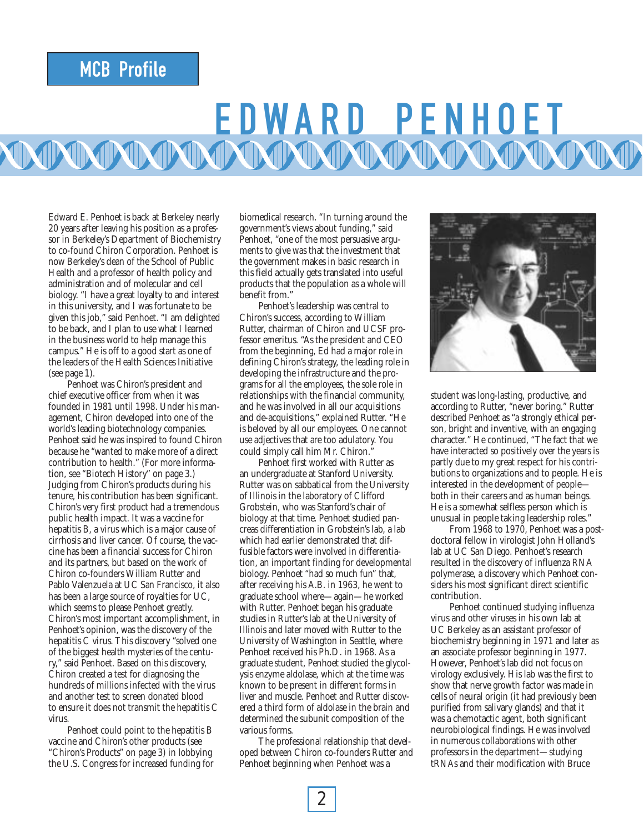# MCB Profile

# E DWARD PE NHOET

Edward E. Penhoet is back at Berkeley nearly 20 years after leaving his position as a professor in Berkeley's Department of Biochemistry to co-found Chiron Corporation. Penhoet is now Berkeley's dean of the School of Public Health and a professor of health policy and administration and of molecular and cell biology. "I have a great loyalty to and interest in this university, and I was fortunate to be given this job," said Penhoet. "I am delighted to be back, and I plan to use what I learned in the business world to help manage this campus." He is off to a good start as one of the leaders of the Health Sciences Initiative (see page 1).

Penhoet was Chiron's president and chief executive officer from when it was founded in 1981 until 1998. Under his management, Chiron developed into one of the world's leading biotechnology companies. Penhoet said he was inspired to found Chiron because he "wanted to make more of a direct contribution to health." (For more information, see "Biotech History" on page 3.) Judging from Chiron's products during his tenure, his contribution has been significant. Chiron's very first product had a tremendous public health impact. It was a vaccine for hepatitis B, a virus which is a major cause of cirrhosis and liver cancer. Of course, the vaccine has been a financial success for Chiron and its partners, but based on the work of Chiron co-founders William Rutter and Pablo Valenzuela at UC San Francisco, it also has been a large source of royalties for UC, which seems to please Penhoet greatly. Chiron's most important accomplishment, in Penhoet's opinion, was the discovery of the hepatitis C virus. This discovery "solved one of the biggest health mysteries of the century," said Penhoet. Based on this discovery, Chiron created a test for diagnosing the hundreds of millions infected with the virus and another test to screen donated blood to ensure it does not transmit the hepatitis C virus.

Penhoet could point to the hepatitis B vaccine and Chiron's other products (see "Chiron's Products" on page 3) in lobbying the U.S. Congress for increased funding for

biomedical research. "In turning around the government's views about funding," said Penhoet, "one of the most persuasive arguments to give was that the investment that the government makes in basic research in this field actually gets translated into useful products that the population as a whole will benefit from."

Penhoet's leadership was central to Chiron's success, according to William Rutter, chairman of Chiron and UCSF professor emeritus. "As the president and CEO from the beginning, Ed had a major role in defining Chiron's strategy, the leading role in developing the infrastructure and the programs for all the employees, the sole role in relationships with the financial community, and he was involved in all our acquisitions and de-acquisitions," explained Rutter. "He is beloved by all our employees. One cannot use adjectives that are too adulatory. You could simply call him Mr. Chiron."

Penhoet first worked with Rutter as an undergraduate at Stanford University. Rutter was on sabbatical from the University of Illinois in the laboratory of Clifford Grobstein, who was Stanford's chair of biology at that time. Penhoet studied pancreas differentiation in Grobstein's lab, a lab which had earlier demonstrated that diffusible factors were involved in differentiation, an important finding for developmental biology. Penhoet "had so much fun" that, after receiving his A.B. in 1963, he went to graduate school where—again—he worked with Rutter. Penhoet began his graduate studies in Rutter's lab at the University of Illinois and later moved with Rutter to the University of Washington in Seattle, where Penhoet received his Ph.D. in 1968. As a graduate student, Penhoet studied the glycolysis enzyme aldolase, which at the time was known to be present in different forms in liver and muscle. Penhoet and Rutter discovered a third form of aldolase in the brain and determined the subunit composition of the various forms.

The professional relationship that developed between Chiron co-founders Rutter and Penhoet beginning when Penhoet was a



student was long-lasting, productive, and according to Rutter, "never boring." Rutter described Penhoet as "a strongly ethical person, bright and inventive, with an engaging character." He continued, "The fact that we have interacted so positively over the years is partly due to my great respect for his contributions to organizations and to people. He is interested in the development of people both in their careers and as human beings. He is a somewhat selfless person which is unusual in people taking leadership roles."

From 1968 to 1970, Penhoet was a postdoctoral fellow in virologist John Holland's lab at UC San Diego. Penhoet's research resulted in the discovery of influenza RNA polymerase, a discovery which Penhoet considers his most significant direct scientific contribution.

Penhoet continued studying influenza virus and other viruses in his own lab at UC Berkeley as an assistant professor of biochemistry beginning in 1971 and later as an associate professor beginning in 1977. However, Penhoet's lab did not focus on virology exclusively. His lab was the first to show that nerve growth factor was made in cells of neural origin (it had previously been purified from salivary glands) and that it was a chemotactic agent, both significant neurobiological findings. He was involved in numerous collaborations with other professors in the department—studying tRNAs and their modification with Bruce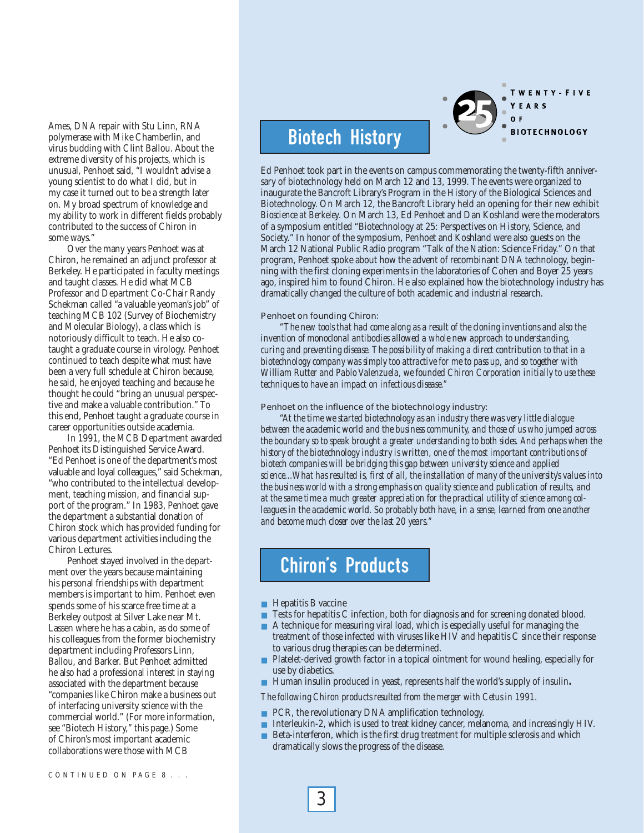Ames, DNA repair with Stu Linn, RNA polymerase with Mike Chamberlin, and virus budding with Clint Ballou. About the extreme diversity of his projects, which is unusual, Penhoet said, "I wouldn't advise a young scientist to do what I did, but in my case it turned out to be a strength later on. My broad spectrum of knowledge and my ability to work in different fields probably contributed to the success of Chiron in some ways."

Over the many years Penhoet was at Chiron, he remained an adjunct professor at Berkeley. He participated in faculty meetings and taught classes. He did what MCB Professor and Department Co-Chair Randy Schekman called "a valuable yeoman's job" of teaching MCB 102 (Survey of Biochemistry and Molecular Biology), a class which is notoriously difficult to teach. He also cotaught a graduate course in virology. Penhoet continued to teach despite what must have been a very full schedule at Chiron because, he said, he enjoyed teaching and because he thought he could "bring an unusual perspective and make a valuable contribution." To this end, Penhoet taught a graduate course in career opportunities outside academia.

In 1991, the MCB Department awarded Penhoet its Distinguished Service Award. "Ed Penhoet is one of the department's most valuable and loyal colleagues," said Schekman, "who contributed to the intellectual development, teaching mission, and financial support of the program." In 1983, Penhoet gave the department a substantial donation of Chiron stock which has provided funding for various department activities including the Chiron Lectures.

Penhoet stayed involved in the department over the years because maintaining his personal friendships with department members is important to him. Penhoet even spends some of his scarce free time at a Berkeley outpost at Silver Lake near Mt. Lassen where he has a cabin, as do some of his colleagues from the former biochemistry department including Professors Linn, Ballou, and Barker. But Penhoet admitted he also had a professional interest in staying associated with the department because "companies like Chiron make a business out of interfacing university science with the commercial world." (For more information, see "Biotech History," this page.) Some of Chiron's most important academic collaborations were those with MCB

# Biotech History

Ed Penhoet took part in the events on campus commemorating the twenty-fifth anniversary of biotechnology held on March 12 and 13, 1999. The events were organized to inaugurate the Bancroft Library's Program in the History of the Biological Sciences and Biotechnology. On March 12, the Bancroft Library held an opening for their new exhibit *Bioscience at Berkeley*. On March 13, Ed Penhoet and Dan Koshland were the moderators of a symposium entitled "Biotechnology at 25: Perspectives on History, Science, and Society." In honor of the symposium, Penhoet and Koshland were also guests on the March 12 National Public Radio program "Talk of the Nation: Science Friday." On that program, Penhoet spoke about how the advent of recombinant DNA technology, beginning with the first cloning experiments in the laboratories of Cohen and Boyer 25 years ago, inspired him to found Chiron. He also explained how the biotechnology industry has dramatically changed the culture of both academic and industrial research.

TWENTY-FIVE

**BIOTECHNOLOGY** 

YEARS

## Penhoet on founding Chiron:

*"The new tools that had come along as a result of the cloning inventions and also the invention of monoclonal antibodies allowed a whole new approach to understanding, curing and preventing disease. The possibility of making a direct contribution to that in a biotechnology company was simply too attractive for me to pass up, and so together with William Rutter and Pablo Valenzuela, we founded Chiron Corporation initially to use these techniques to have an impact on infectious disease."*

## Penhoet on the influence of the biotechnology industry:

*"At the time we started biotechnology as an industry there was very little dialogue between the academic world and the business community, and those of us who jumped across the boundary so to speak brought a greater understanding to both sides. And perhaps when the history of the biotechnology industry is written, one of the most important contributions of biotech companies will be bridging this gap between university science and applied science...What has resulted is, first of all, the installation of many of the university's values into the business world with a strong emphasis on quality science and publication of results, and at the same time a much greater appreciation for the practical utility of science among colleagues in the academic world. So probably both have, in a sense, learned from one another and become much closer over the last 20 years."*

# Chiron's Products

■ Hepatitis B vaccine

3

- Tests for hepatitis C infection, both for diagnosis and for screening donated blood.
- A technique for measuring viral load, which is especially useful for managing the treatment of those infected with viruses like HIV and hepatitis C since their response to various drug therapies can be determined.
- Platelet-derived growth factor in a topical ointment for wound healing, especially for use by diabetics.
- Human insulin produced in yeast, represents half the world's supply of insulin.

*The following Chiron products resulted from the merger with Cetus in 1991.*

- PCR, the revolutionary DNA amplification technology.
- Interleukin-2, which is used to treat kidney cancer, melanoma, and increasingly HIV.
- Beta-interferon, which is the first drug treatment for multiple sclerosis and which dramatically slows the progress of the disease.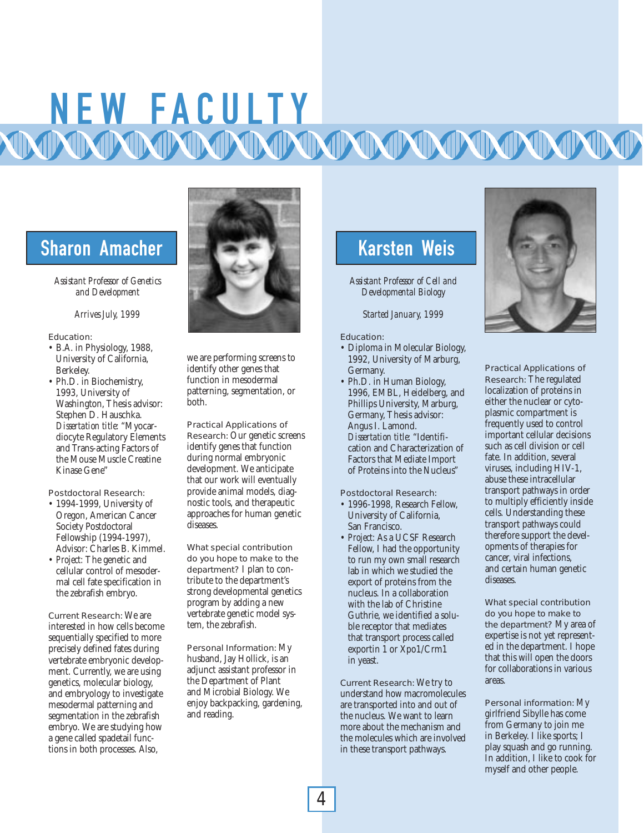# N E W FA C U LTY<br>MMMMMMMMMMMMMMMM

# Sharon Amacher Karsten Weis

*Assistant Professor of Genetics and Development*

*Arrives July, 1999*

## Education:

- B.A. in Physiology, 1988, University of California, Berkeley.
- Ph.D. in Biochemistry, 1993, University of Washington, Thesis advisor: Stephen D. Hauschka. *Dissertation title:* "Myocardiocyte Regulatory Elements and Trans-acting Factors of the Mouse Muscle Creatine Kinase Gene"

Postdoctoral Research:

- 1994-1999, University of Oregon, American Cancer Society Postdoctoral Fellowship (1994-1997), Advisor: Charles B. Kimmel.
- *Project:* The genetic and cellular control of mesodermal cell fate specification in the zebrafish embryo.

Current Research: We are interested in how cells become sequentially specified to more precisely defined fates during vertebrate embryonic development. Currently, we are using genetics, molecular biology, and embryology to investigate mesodermal patterning and segmentation in the zebrafish embryo. We are studying how a gene called spadetail functions in both processes. Also,



we are performing screens to identify other genes that function in mesodermal patterning, segmentation, or both.

Practical Applications of Research: Our genetic screens identify genes that function during normal embryonic development. We anticipate that our work will eventually provide animal models, diagnostic tools, and therapeutic approaches for human genetic diseases.

What special contribution do you hope to make to the department? I plan to contribute to the department's strong developmental genetics program by adding a new vertebrate genetic model system, the zebrafish.

Personal Information: My husband, Jay Hollick, is an adjunct assistant professor in the Department of Plant and Microbial Biology. We enjoy backpacking, gardening, and reading.

*Assistant Professor of Cell and Developmental Biology*

*Started January, 1999*

## Education:

- Diploma in Molecular Biology, 1992, University of Marburg, Germany.
- Ph.D. in Human Biology, 1996, EMBL, Heidelberg, and Phillips University, Marburg, Germany, Thesis advisor: Angus I. Lamond. *Dissertation title:* "Identification and Characterization of Factors that Mediate Import of Proteins into the Nucleus"

Postdoctoral Research:

- 1996-1998, Research Fellow, University of California, San Francisco.
- *Project:* As a UCSF Research Fellow, I had the opportunity to run my own small research lab in which we studied the export of proteins from the nucleus. In a collaboration with the lab of Christine Guthrie, we identified a soluble receptor that mediates that transport process called exportin 1 or Xpo1/Crm1 in yeast.

Current Research: We try to understand how macromolecules are transported into and out of the nucleus. We want to learn more about the mechanism and the molecules which are involved in these transport pathways.



Practical Applications of Research: The regulated localization of proteins in either the nuclear or cytoplasmic compartment is frequently used to control important cellular decisions such as cell division or cell fate. In addition, several viruses, including HIV-1, abuse these intracellular transport pathways in order to multiply efficiently inside cells. Understanding these transport pathways could therefore support the developments of therapies for cancer, viral infections, and certain human genetic diseases.

What special contribution do you hope to make to the department? My area of expertise is not yet represented in the department. I hope that this will open the doors for collaborations in various areas.

Personal information: My girlfriend Sibylle has come from Germany to join me in Berkeley. I like sports; I play squash and go running. In addition, I like to cook for myself and other people.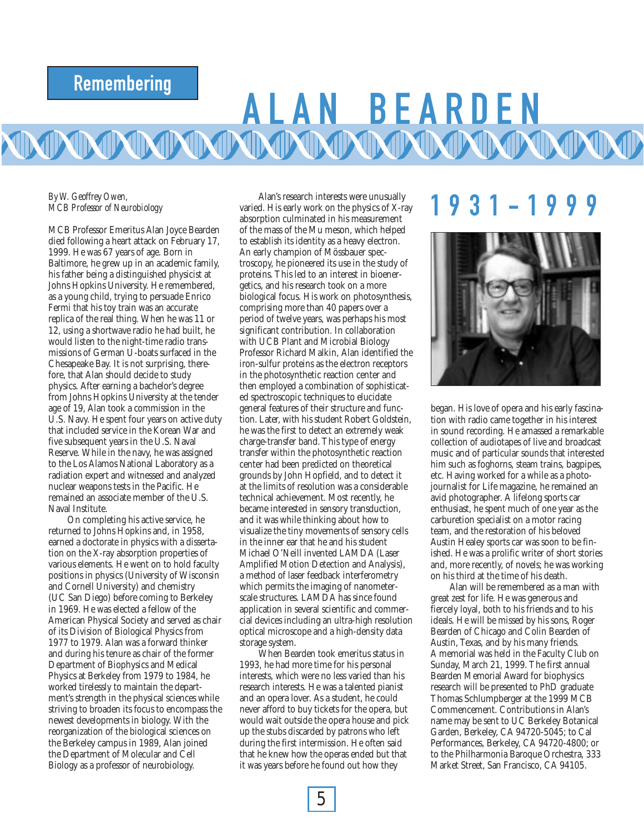# Remembering

# BEARDE

## *By W. Geoffrey Owen, MCB Professor of Neurobiology*

MCB Professor Emeritus Alan Joyce Bearden died following a heart attack on February 17, 1999. He was 67 years of age. Born in Baltimore, he grew up in an academic family, his father being a distinguished physicist at Johns Hopkins University. He remembered, as a young child, trying to persuade Enrico Fermi that his toy train was an accurate replica of the real thing. When he was 11 or 12, using a shortwave radio he had built, he would listen to the night-time radio transmissions of German U-boats surfaced in the Chesapeake Bay. It is not surprising, therefore, that Alan should decide to study physics. After earning a bachelor's degree from Johns Hopkins University at the tender age of 19, Alan took a commission in the U.S. Navy. He spent four years on active duty that included service in the Korean War and five subsequent years in the U.S. Naval Reserve. While in the navy, he was assigned to the Los Alamos National Laboratory as a radiation expert and witnessed and analyzed nuclear weapons tests in the Pacific. He remained an associate member of the U.S. Naval Institute.

On completing his active service, he returned to Johns Hopkins and, in 1958, earned a doctorate in physics with a dissertation on the X-ray absorption properties of various elements. He went on to hold faculty positions in physics (University of Wisconsin and Cornell University) and chemistry (UC San Diego) before coming to Berkeley in 1969. He was elected a fellow of the American Physical Society and served as chair of its Division of Biological Physics from 1977 to 1979. Alan was a forward thinker and during his tenure as chair of the former Department of Biophysics and Medical Physics at Berkeley from 1979 to 1984, he worked tirelessly to maintain the department's strength in the physical sciences while striving to broaden its focus to encompass the newest developments in biology. With the reorganization of the biological sciences on the Berkeley campus in 1989, Alan joined the Department of Molecular and Cell Biology as a professor of neurobiology.

Alan's research interests were unusually varied. His early work on the physics of X-ray absorption culminated in his measurement of the mass of the Mu meson, which helped to establish its identity as a heavy electron. An early champion of Mössbauer spectroscopy, he pioneered its use in the study of proteins. This led to an interest in bioenergetics, and his research took on a more biological focus. His work on photosynthesis, comprising more than 40 papers over a period of twelve years, was perhaps his most significant contribution. In collaboration with UCB Plant and Microbial Biology Professor Richard Malkin, Alan identified the iron-sulfur proteins as the electron receptors in the photosynthetic reaction center and then employed a combination of sophisticated spectroscopic techniques to elucidate general features of their structure and function. Later, with his student Robert Goldstein, he was the first to detect an extremely weak charge-transfer band. This type of energy transfer within the photosynthetic reaction center had been predicted on theoretical grounds by John Hopfield, and to detect it at the limits of resolution was a considerable technical achievement. Most recently, he became interested in sensory transduction, and it was while thinking about how to visualize the tiny movements of sensory cells in the inner ear that he and his student Michael O'Neill invented LAMDA (Laser Amplified Motion Detection and Analysis), a method of laser feedback interferometry which permits the imaging of nanometerscale structures. LAMDA has since found application in several scientific and commercial devices including an ultra-high resolution optical microscope and a high-density data storage system.

When Bearden took emeritus status in 1993, he had more time for his personal interests, which were no less varied than his research interests. He was a talented pianist and an opera lover. As a student, he could never afford to buy tickets for the opera, but would wait outside the opera house and pick up the stubs discarded by patrons who left during the first intermission. He often said that he knew how the operas ended but that it was years before he found out how they

# 1931 - 1 9 9 9



began. His love of opera and his early fascination with radio came together in his interest in sound recording. He amassed a remarkable collection of audiotapes of live and broadcast music and of particular sounds that interested him such as foghorns, steam trains, bagpipes, etc. Having worked for a while as a photojournalist for Life magazine, he remained an avid photographer. A lifelong sports car enthusiast, he spent much of one year as the carburetion specialist on a motor racing team, and the restoration of his beloved Austin Healey sports car was soon to be finished. He was a prolific writer of short stories and, more recently, of novels; he was working on his third at the time of his death.

Alan will be remembered as a man with great zest for life. He was generous and fiercely loyal, both to his friends and to his ideals. He will be missed by his sons, Roger Bearden of Chicago and Colin Bearden of Austin, Texas, and by his many friends. A memorial was held in the Faculty Club on Sunday, March 21, 1999. The first annual Bearden Memorial Award for biophysics research will be presented to PhD graduate Thomas Schlumpberger at the 1999 MCB Commencement. Contributions in Alan's name may be sent to UC Berkeley Botanical Garden, Berkeley, CA 94720-5045; to Cal Performances, Berkeley, CA 94720-4800; or to the Philharmonia Baroque Orchestra, 333 Market Street, San Francisco, CA 94105.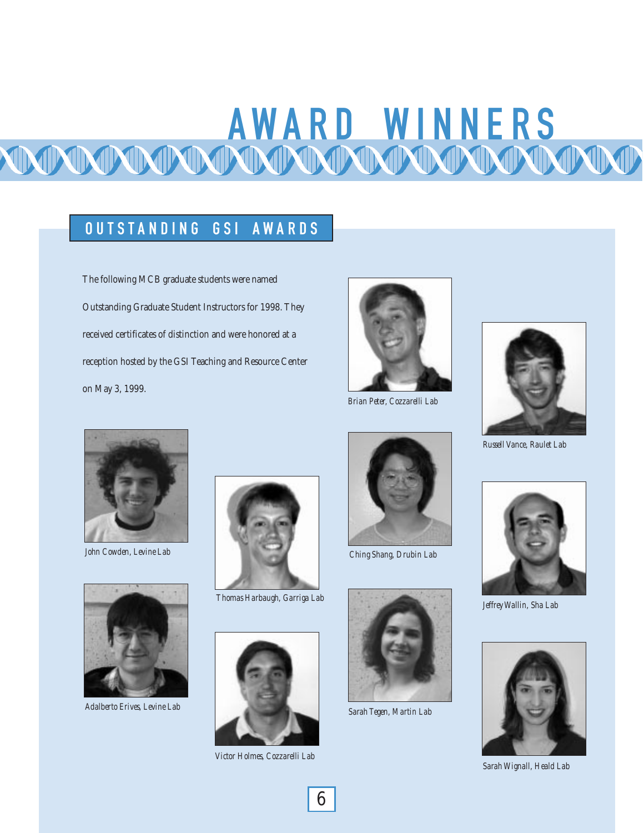# AWARD WINNERS

# OUTSTANDING GSI AWARDS

The following MCB graduate students were named Outstanding Graduate Student Instructors for 1998. They received certificates of distinction and were honored at a reception hosted by the GSI Teaching and Resource Center on May 3, 1999.



*Brian Peter, Cozzarelli Lab*



*Russell Vance, Raulet Lab*



*John Cowden, Levine Lab*



*Adalberto Erives, Levine Lab*



*Thomas Harbaugh, Garriga Lab*



*Victor Holmes, Cozzarelli Lab*



*Ching Shang, Drubin Lab*



*Sarah Tegen, Martin Lab*



*Jeffrey Wallin, Sha Lab*



*Sarah Wignall, Heald Lab*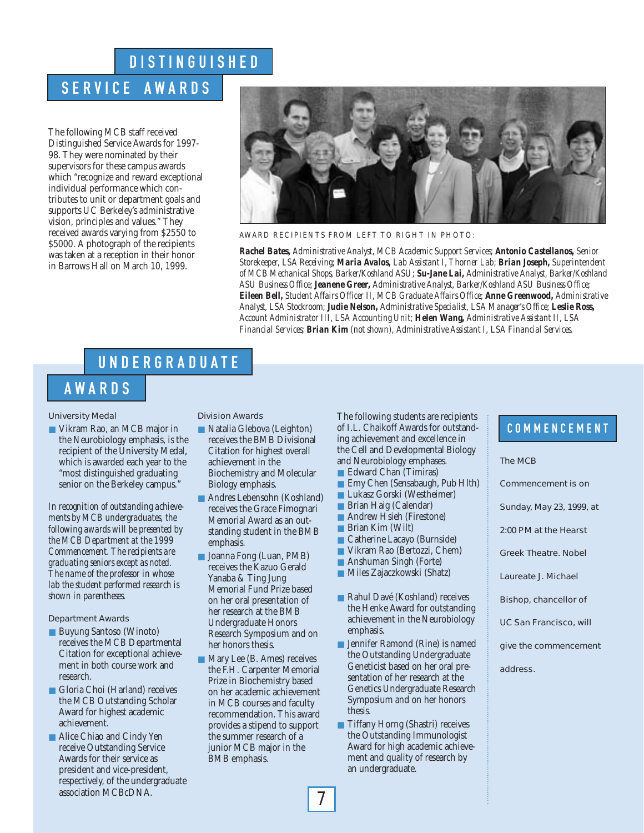# **DISTINGUISHED**

## SERVICE AWARDS

The following MCB staff received Distinguished Service Awards for 1997- 98. They were nominated by their supervisors for these campus awards which "recognize and reward exceptional individual performance which contributes to unit or department goals and supports UC Berkeley's administrative vision, principles and values." They received awards varying from \$2550 to \$5000. A photograph of the recipients was taken at a reception in their honor in Barrows Hall on March 10, 1999.



### AWARD RECIPIENTS FROM LEFT TO RIGHT IN PHOTO:

*Rachel Bates, Administrative Analyst, MCB Academic Support Services; Antonio Castellanos, Senior Storekeeper, LSA Receiving; Maria Avalos, Lab Assistant I, Thorner Lab; Brian Joseph, Superintendent of MCB Mechanical Shops, Barker/Koshland ASU; Su-Jane Lai, Administrative Analyst, Barker/Koshland ASU Business Office; Jeanene Greer, Administrative Analyst, Barker/Koshland ASU Business Office; Eileen Bell, Student Affairs Officer II, MCB Graduate Affairs Office; Anne Greenwood, Administrative Analyst, LSA Stockroom; Judie Nelson, Administrative Specialist, LSA Manager's Office; Leslie Ross, Account Administrator III, LSA Accounting Unit; Helen Wang, Administrative Assistant II, LSA Financial Services; Brian Kim (not shown), Administrative Assistant I, LSA Financial Services.*

## UNDE RGR ADU A T E

## **AWARDS**

## University Medal

■ Vikram Rao, an MCB major in the Neurobiology emphasis, is the recipient of the University Medal, which is awarded each year to the "most distinguished graduating senior on the Berkeley campus."

*In recognition of outstanding achievements by MCB undergraduates, the following awards will be presented by the MCB Department at the 1999 Commencement. The recipients are graduating seniors except as noted. The name of the professor in whose lab the student performed research is shown in parentheses.*

## Department Awards

- Buyung Santoso (Winoto) receives the MCB Departmental Citation for exceptional achievement in both course work and research.
- Gloria Choi (Harland) receives the MCB Outstanding Scholar Award for highest academic achievement.
- Alice Chiao and Cindy Yen receive Outstanding Service Awards for their service as president and vice-president, respectively, of the undergraduate association MCBcDNA.

Division Awards

- Natalia Glebova (Leighton) receives the BMB Divisional Citation for highest overall achievement in the Biochemistry and Molecular Biology emphasis.
- Andres Lebensohn (Koshland) receives the Grace Fimognari Memorial Award as an outstanding student in the BMB emphasis.
- Joanna Fong (Luan, PMB) receives the Kazuo Gerald Yanaba & Ting Jung Memorial Fund Prize based on her oral presentation of her research at the BMB Undergraduate Honors Research Symposium and on her honors thesis.
- Mary Lee (B. Ames) receives the F.H. Carpenter Memorial Prize in Biochemistry based on her academic achievement in MCB courses and faculty recommendation. This award provides a stipend to support the summer research of a junior MCB major in the BMB emphasis.

The following students are recipients of I.L. Chaikoff Awards for outstanding achievement and excellence in the Cell and Developmental Biology and Neurobiology emphases.

- Edward Chan (Timiras)
- Emy Chen (Sensabaugh, Pub Hlth)
- Lukasz Gorski (Westheimer)
- Brian Haig (Calendar)
- Andrew Hsieh (Firestone)
- Brian Kim (Wilt)
- Catherine Lacayo (Burnside)
- Vikram Rao (Bertozzi, Chem)
- Anshuman Singh (Forte)
- Miles Zajaczkowski (Shatz)
- Rahul Davé (Koshland) receives the Henke Award for outstanding achievement in the Neurobiology emphasis.
- Jennifer Ramond (Rine) is named the Outstanding Undergraduate Geneticist based on her oral presentation of her research at the Genetics Undergraduate Research Symposium and on her honors thesis.
- Tiffany Horng (Shastri) receives the Outstanding Immunologist Award for high academic achievement and quality of research by an undergraduate.

## **COMMENCEMENT**

## The MCB

Commencement is on

Sunday, May 23, 1999, at

2:00 PM at the Hearst

Greek Theatre. Nobel

Laureate J. Michael

Bishop, chancellor of

UC San Francisco, will

give the commencement

address.